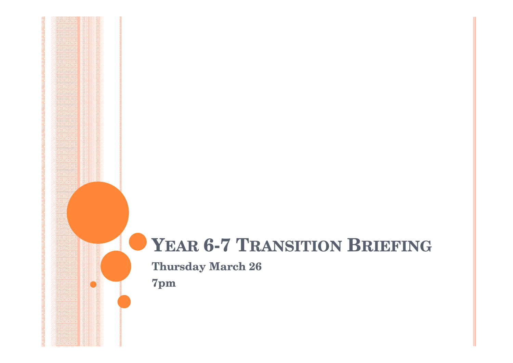# **YEAR 6-7 TRANSITION <sup>B</sup>RIEFING**

**Thursday March 26**

**7pm**

**STAR**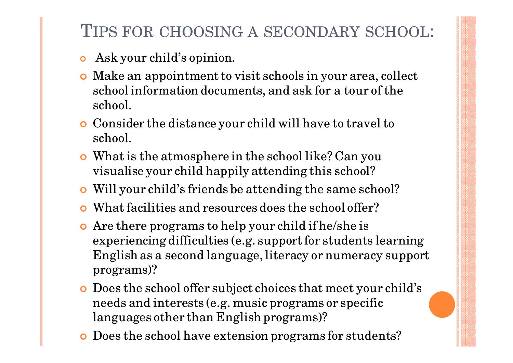# TIPS FOR CHOOSING <sup>A</sup> SECONDARY SCHOOL:

- $\overline{O}$ Ask your child's opinion.
- **o** Make an appointment to visit schools in your area, collect school information documents, and ask for a tour of the school.
- **o** Consider the distance your child will have to travel to school.
- **o** What is the atmosphere in the school like? Can you visualise your child happily attending this school?
- $\overline{O}$ Will your child's friends be attending the same school?
- O What facilities and resources does the school offer?
- Are there programs to help your child if he/she is experiencing difficulties (e.g. support for students learning English as a second language, literacy or numeracy support programs)?
- O Does the school offer subject choices that meet your child's needs and interests (e.g. music programs or specific languages other than English programs)?
- Does the school have extension programs for students?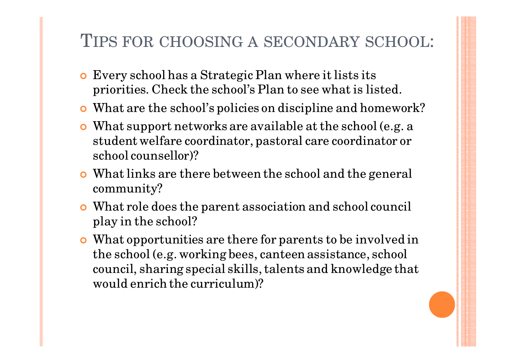# TIPS FOR CHOOSING <sup>A</sup> SECONDARY SCHOOL:

- **o** Every school has a Strategic Plan where it lists its priorities. Check the school's Plan to see what is listed.
- What are the school's policies on discipline and homework?
- What support networks are available at the school (e.g. a student welfare coordinator, pastoral care coordinator or school counsellor)?
- $\bullet$  What links are there between the school and the general community?
- What role does the parent association and school council play in the school?
- What opportunities are there for parents to be involved in the school (e.g. working bees, canteen assistance, school council, sharing special skills, talents and knowledge that would enrich the curriculum)?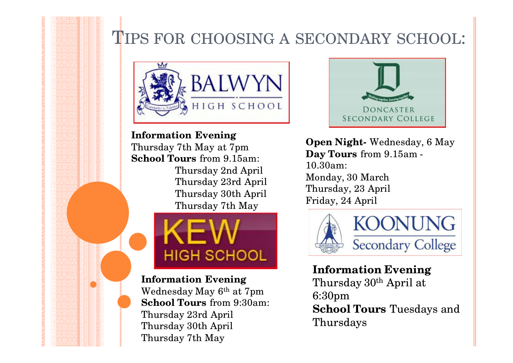# TIPS FOR CHOOSING A SECONDARY SCHOOL:



**Information Evening** Thursday 7th May at 7pm **School Tours** from 9.15am:Thursday 2nd AprilThursday 23rd AprilThursday 30th AprilThursday 7th May



**Information Evening** Wednesday May 6th at 7pm **School Tours** from 9:30am:Thursday 23rd April Thursday 30th AprilThursday 7th May



**Open Night-** Wednesday, 6 May**Day Tours** from 9.15am -10.30am: Monday, 30 March Thursday, 23 AprilFriday, 24 April



**Information Evening** Thursday 30th April at 6:30pm **School Tours** Tuesdays and Thursdays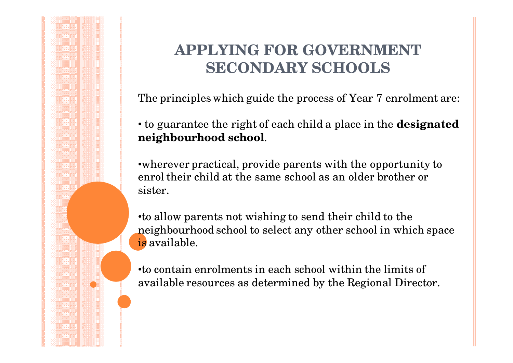The principles which guide the process of Year 7 enrolment are:

• to guarantee the right of each child a place in the **designated neighbourhood school**.

•wherever practical, provide parents with the opportunity to enrol their child at the same school as an older brother or sister.

•to allow parents not wishing to send their child to the neighbourhood school to select any other school in which space is available.

•to contain enrolments in each school within the limits of available resources as determined by the Regional Director.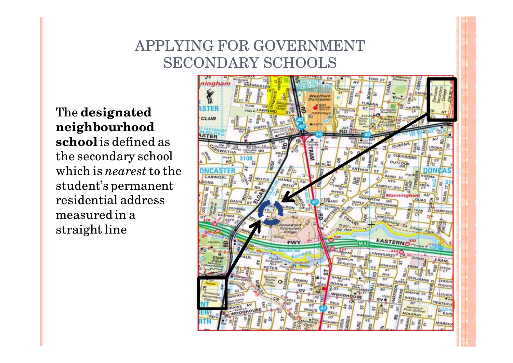The **designated neighbourhood school** is defined as the secondary school which is *nearest* to the student's permanent residential address measured in a straight line

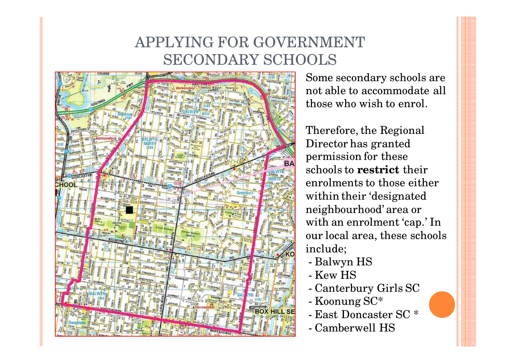

 Some secondary schools are not able to accommodate all those who wish to enrol.

Therefore, the Regional Director has granted permission for these schools to **restrict** their enrolments to those either within their 'designated neighbourhood' area or with an enrolment 'cap.' In our local area, these schools include;

- Balwyn HS
- Kew HS
- Canter Canterbury Girls SC
- Koonung SC\*
- East Doncas East Doncaster SC \*
- Camberwell HS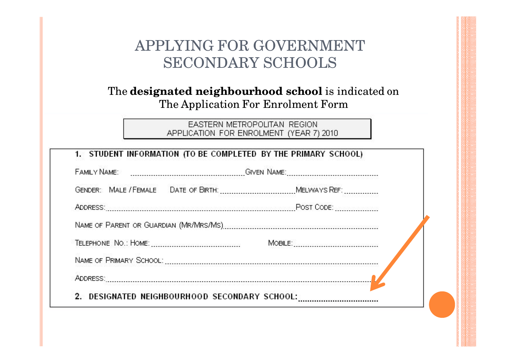### The **designated neighbourhood school** is indicated on The Application For Enrolment Form

### EASTERN METROPOLITAN REGION APPLICATION FOR ENROLMENT (YEAR 7) 2010

| ADDRESS:<br>2. | DESIGNATED NEIGHBOURHOOD SECONDARY SCHOOL: |  |
|----------------|--------------------------------------------|--|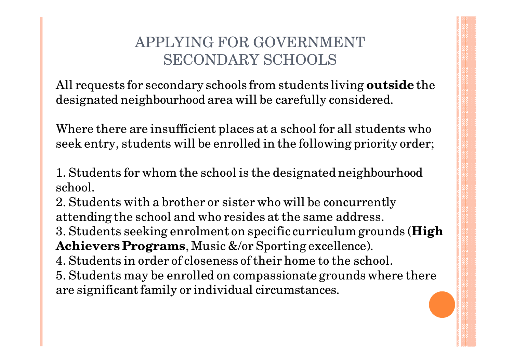All requests for secondary schools from students living **outside** the designated neighbourhood area will be carefully considered.

Where there are insufficient places at a school for all students who seek entry, students will be enrolled in the following priority order;

1. Students for whom the school is the designated neighbourhood school.

2. Students with a brother or sister who will be concurrently attending the school and who resides at the same address.3. Students seeking enrolment on specific curriculum grounds (**High Achievers Programs**, Music &/or Sporting excellence). 4. Students in order of closeness of their home to the school.5. Students may be enrolled on compassionate grounds where there are significant family or individual circumstances.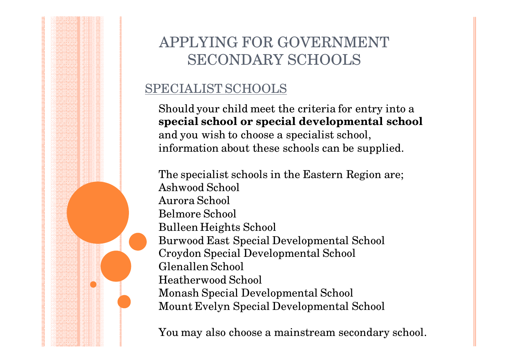### SPECIALIST SCHOOLS

Should your child meet the criteria for entry into a **special school or special developmental school**  and you wish to choose a specialist school, information about these schools can be supplied.

The specialist schools in the Eastern Region are;Ashwood SchoolAurora School Belmore SchoolBulleen Heights School Burwood East Special Developmental SchoolCroydon Special Developmental School Glenallen School Heatherwood SchoolMonash Special Developmental School Mount Evelyn Special Developmental School

You may also choose a mainstream secondary school.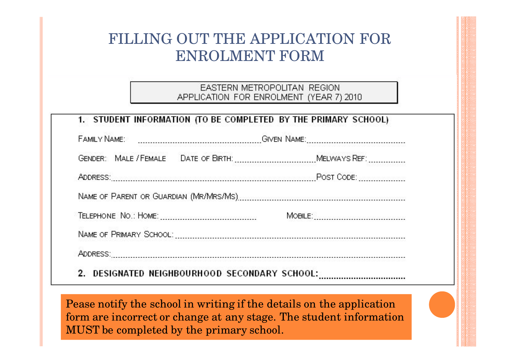EASTERN METROPOLITAN REGION APPLICATION FOR ENROLMENT (YEAR 7) 2010

| <b>FAMILY NAME:</b> |                                            |  |  |
|---------------------|--------------------------------------------|--|--|
|                     |                                            |  |  |
|                     |                                            |  |  |
|                     |                                            |  |  |
|                     |                                            |  |  |
|                     |                                            |  |  |
|                     |                                            |  |  |
| $2^{\circ}$         | DESIGNATED NEIGHBOURHOOD SECONDARY SCHOOL: |  |  |

Pease notify the school in writing if the details on the application form are incorrect or change at any stage. The student information MUST be completed by the primary school.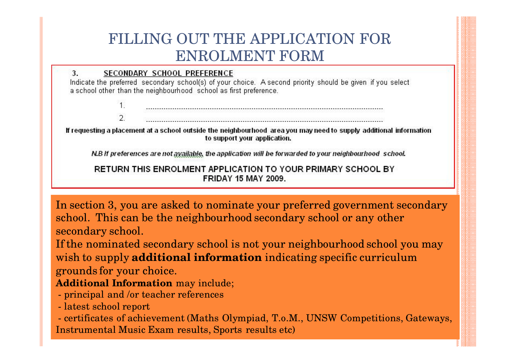3. SECONDARY SCHOOL PREFERENCE

Indicate the preferred secondary school(s) of your choice. A second priority should be given if you select a school other than the neighbourhood school as first preference.

 $2.$ 

If requesting a placement at a school outside the neighbourhood area you may need to supply additional information to support your application.

N.B If preferences are not available, the application will be forwarded to your neighbourhood school.

**RETURN THIS ENROLMENT APPLICATION TO YOUR PRIMARY SCHOOL BY FRIDAY 15 MAY 2009.** 

In section 3, you are asked to nominate your preferred government secondary school. This can be the neighbourhood secondary school or any other secondary school.

If the nominated secondary school is not your neighbourhood school you may wish to supply **additional information** indicating specific curriculum grounds for your choice.

### **Additional Information** may include;

- principal and /or teacher references
- latest school report

- certificates of achievement (Maths Olympiad, T.o.M., UNSW Competitions, Gateways, Instrumental Music Exam results, Sports results etc)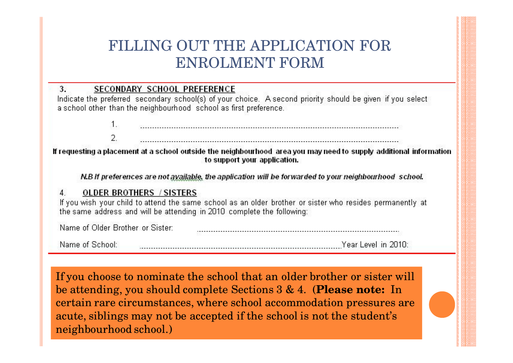#### 3. SECONDARY SCHOOL PREFERENCE

Indicate the preferred secondary school(s) of your choice. A second priority should be given if you select a school other than the neighbourhood school as first preference.

> $1$ . 2.

If requesting a placement at a school outside the neighbourhood area you may need to supply additional information to support your application.

N.B If preferences are not available, the application will be forwarded to your neighbourhood school.

#### **OLDER BROTHERS / SISTERS**  $\mathbf{A}$

If you wish your child to attend the same school as an older brother or sister who resides permanently at the same address and will be attending in 2010 complete the following:

Name of Older Brother or Sister: 

Name of School:

If you choose to nominate the school that an older brother or sister will be attending, you should complete Sections 3 & 4. (**Please note:** In certain rare circumstances, where school accommodation pressures are acute, siblings may not be accepted if the school is not the student's neighbourhood school.)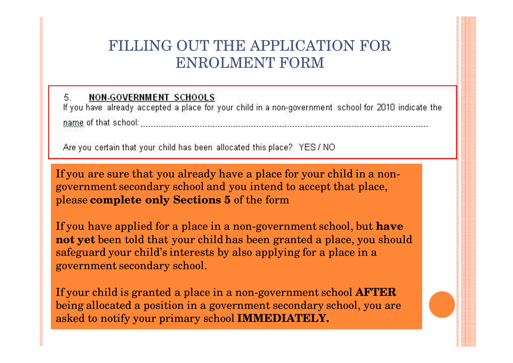#### 5. **NON-GOVERNMENT SCHOOLS**

If you have already accepted a place for your child in a non-government school for 2010 indicate the mame of that school: the contract of the contract of the contract of the contract of the contract of the contract of the contract of the contract of the contract of the contract of the contract of the contract of the contr

Are you certain that your child has been allocated this place? YES/NO

If you are sure that you already have a place for your child in a nongovernment secondary school and you intend to accept that place, please **complete only Sections 5** of the form

If you have applied for a place in a non-government school, but **have not yet** been told that your child has been granted a place, you should safeguard your child's interests by also applying for a place in a government secondary school.

If your child is granted a place in a non-government school **AFTER** being allocated a position in a government secondary school, you are asked to notify your primary school **IMMEDIATELY.**